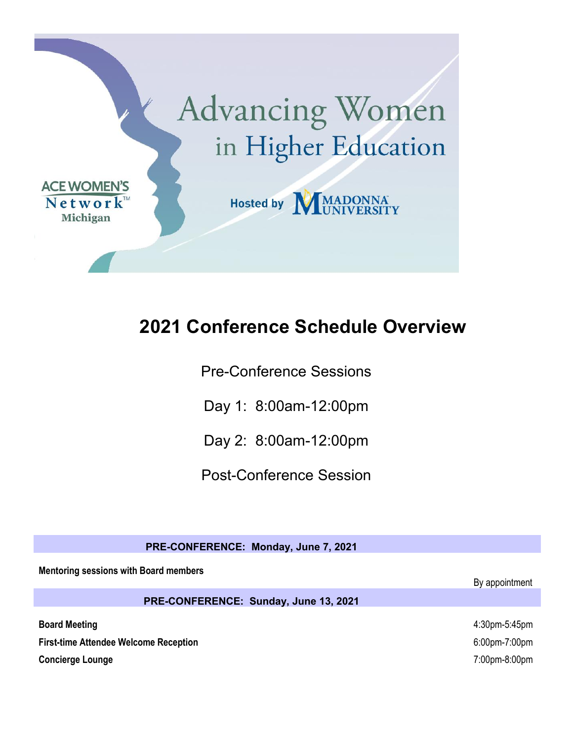

# **2021 Conference Schedule Overview**

Pre-Conference Sessions

Day 1: 8:00am-12:00pm

Day 2: 8:00am-12:00pm

Post-Conference Session

| PRE-CONFERENCE: Monday, June 7, 2021         |                |
|----------------------------------------------|----------------|
| <b>Mentoring sessions with Board members</b> | By appointment |
| PRE-CONFERENCE: Sunday, June 13, 2021        |                |
| <b>Board Meeting</b>                         | 4:30pm-5:45pm  |
| <b>First-time Attendee Welcome Reception</b> | 6:00pm-7:00pm  |
| <b>Concierge Lounge</b>                      | 7:00pm-8:00pm  |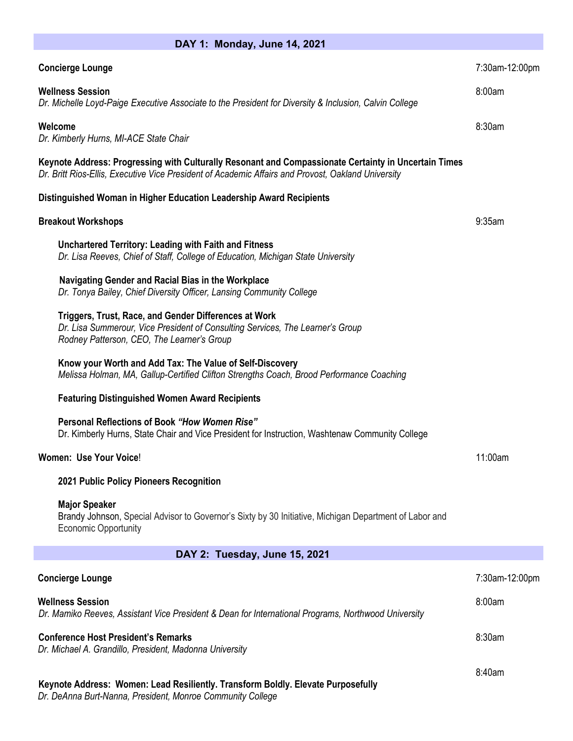| DAY 1: Monday, June 14, 2021                                                                                                                                                                               |                |
|------------------------------------------------------------------------------------------------------------------------------------------------------------------------------------------------------------|----------------|
| <b>Concierge Lounge</b>                                                                                                                                                                                    | 7:30am-12:00pm |
| <b>Wellness Session</b><br>Dr. Michelle Loyd-Paige Executive Associate to the President for Diversity & Inclusion, Calvin College                                                                          | 8:00am         |
| Welcome<br>Dr. Kimberly Hurns, MI-ACE State Chair                                                                                                                                                          | 8:30am         |
| Keynote Address: Progressing with Culturally Resonant and Compassionate Certainty in Uncertain Times<br>Dr. Britt Rios-Ellis, Executive Vice President of Academic Affairs and Provost, Oakland University |                |
| Distinguished Woman in Higher Education Leadership Award Recipients                                                                                                                                        |                |
| <b>Breakout Workshops</b>                                                                                                                                                                                  | 9:35am         |
| Unchartered Territory: Leading with Faith and Fitness<br>Dr. Lisa Reeves, Chief of Staff, College of Education, Michigan State University                                                                  |                |
| Navigating Gender and Racial Bias in the Workplace<br>Dr. Tonya Bailey, Chief Diversity Officer, Lansing Community College                                                                                 |                |
| Triggers, Trust, Race, and Gender Differences at Work<br>Dr. Lisa Summerour, Vice President of Consulting Services, The Learner's Group<br>Rodney Patterson, CEO, The Learner's Group                      |                |
| Know your Worth and Add Tax: The Value of Self-Discovery<br>Melissa Holman, MA, Gallup-Certified Clifton Strengths Coach, Brood Performance Coaching                                                       |                |
| <b>Featuring Distinguished Women Award Recipients</b>                                                                                                                                                      |                |
| Personal Reflections of Book "How Women Rise"<br>Dr. Kimberly Hurns, State Chair and Vice President for Instruction, Washtenaw Community College                                                           |                |
| Women: Use Your Voice!                                                                                                                                                                                     | 11:00am        |
| 2021 Public Policy Pioneers Recognition                                                                                                                                                                    |                |
| <b>Major Speaker</b><br>Brandy Johnson, Special Advisor to Governor's Sixty by 30 Initiative, Michigan Department of Labor and<br><b>Economic Opportunity</b>                                              |                |
| DAY 2: Tuesday, June 15, 2021                                                                                                                                                                              |                |
| <b>Concierge Lounge</b>                                                                                                                                                                                    | 7:30am-12:00pm |
| <b>Wellness Session</b><br>Dr. Mamiko Reeves, Assistant Vice President & Dean for International Programs, Northwood University                                                                             | 8:00am         |
| <b>Conference Host President's Remarks</b><br>Dr. Michael A. Grandillo, President, Madonna University                                                                                                      | 8:30am         |
| Keynote Address: Women: Lead Resiliently. Transform Boldly. Elevate Purposefully                                                                                                                           | 8:40am         |

*Dr. DeAnna Burt-Nanna, President, Monroe Community College*